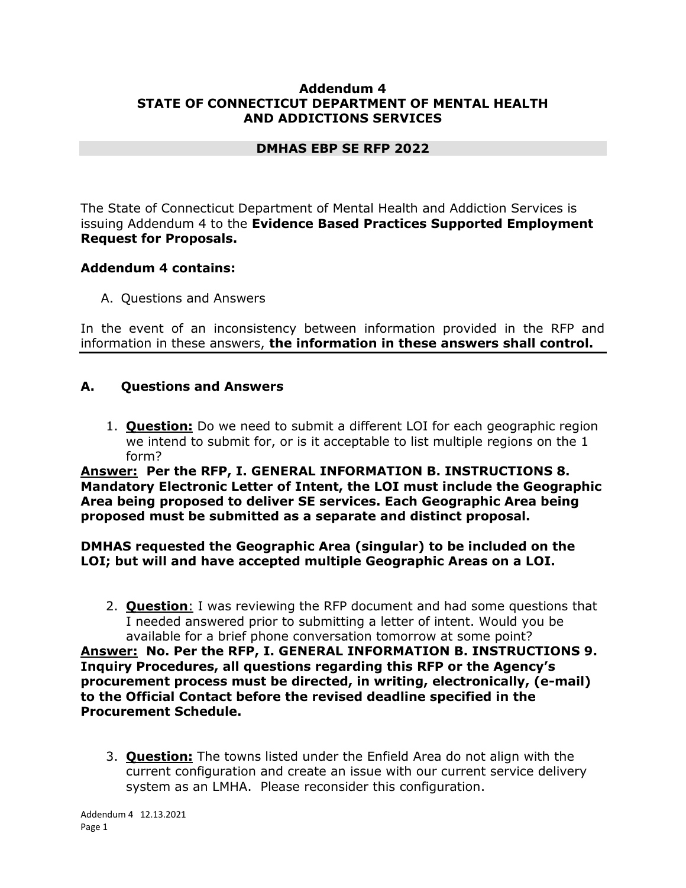### **Addendum 4 STATE OF CONNECTICUT DEPARTMENT OF MENTAL HEALTH AND ADDICTIONS SERVICES**

## **DMHAS EBP SE RFP 2022**

The State of Connecticut Department of Mental Health and Addiction Services is issuing Addendum 4 to the **Evidence Based Practices Supported Employment Request for Proposals.**

## **Addendum 4 contains:**

A. Questions and Answers

In the event of an inconsistency between information provided in the RFP and information in these answers, **the information in these answers shall control.**

## **A. Questions and Answers**

1. **Question:** Do we need to submit a different LOI for each geographic region we intend to submit for, or is it acceptable to list multiple regions on the 1 form?

**Answer: Per the RFP, I. GENERAL INFORMATION B. INSTRUCTIONS 8. Mandatory Electronic Letter of Intent, the LOI must include the Geographic Area being proposed to deliver SE services. Each Geographic Area being proposed must be submitted as a separate and distinct proposal.**

## **DMHAS requested the Geographic Area (singular) to be included on the LOI; but will and have accepted multiple Geographic Areas on a LOI.**

- 2. **Question**: I was reviewing the RFP document and had some questions that I needed answered prior to submitting a letter of intent. Would you be available for a brief phone conversation tomorrow at some point? **Answer: No. Per the RFP, I. GENERAL INFORMATION B. INSTRUCTIONS 9. Inquiry Procedures, all questions regarding this RFP or the Agency's procurement process must be directed, in writing, electronically, (e-mail) to the Official Contact before the revised deadline specified in the Procurement Schedule.**
	- 3. **Question:** The towns listed under the Enfield Area do not align with the current configuration and create an issue with our current service delivery system as an LMHA. Please reconsider this configuration.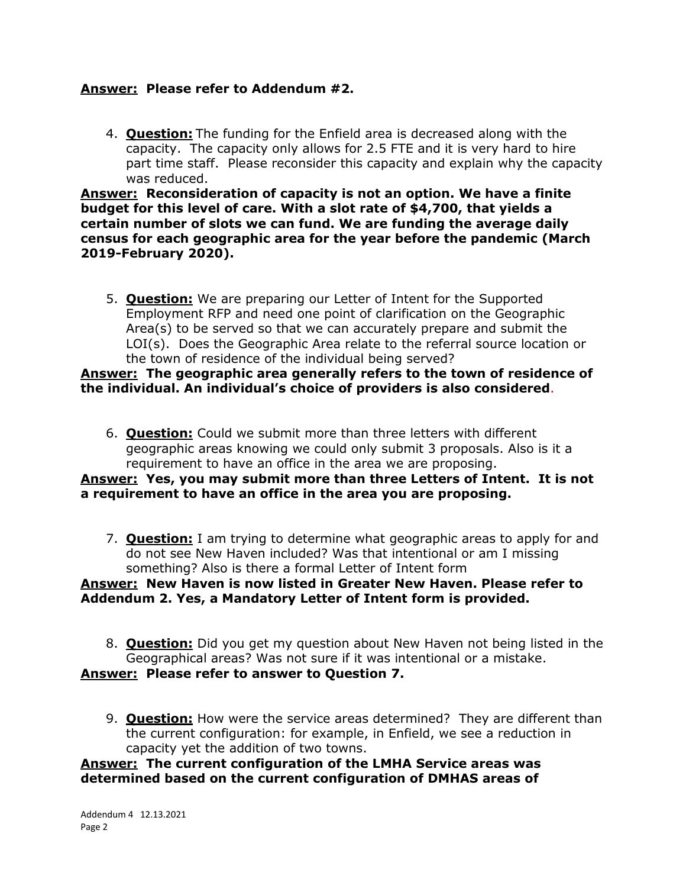## **Answer: Please refer to Addendum #2.**

4. **Question:** The funding for the Enfield area is decreased along with the capacity. The capacity only allows for 2.5 FTE and it is very hard to hire part time staff. Please reconsider this capacity and explain why the capacity was reduced.

**Answer: Reconsideration of capacity is not an option. We have a finite budget for this level of care. With a slot rate of \$4,700, that yields a certain number of slots we can fund. We are funding the average daily census for each geographic area for the year before the pandemic (March 2019-February 2020).**

5. **Question:** We are preparing our Letter of Intent for the Supported Employment RFP and need one point of clarification on the Geographic Area(s) to be served so that we can accurately prepare and submit the LOI(s). Does the Geographic Area relate to the referral source location or the town of residence of the individual being served?

### **Answer: The geographic area generally refers to the town of residence of the individual. An individual's choice of providers is also considered**.

6. **Question:** Could we submit more than three letters with different geographic areas knowing we could only submit 3 proposals. Also is it a requirement to have an office in the area we are proposing.

## **Answer: Yes, you may submit more than three Letters of Intent. It is not a requirement to have an office in the area you are proposing.**

7. **Question:** I am trying to determine what geographic areas to apply for and do not see New Haven included? Was that intentional or am I missing something? Also is there a formal Letter of Intent form

### **Answer: New Haven is now listed in Greater New Haven. Please refer to Addendum 2. Yes, a Mandatory Letter of Intent form is provided.**

- 8. **Question:** Did you get my question about New Haven not being listed in the Geographical areas? Was not sure if it was intentional or a mistake. **Answer: Please refer to answer to Question 7.**
	- 9. **Question:** How were the service areas determined? They are different than the current configuration: for example, in Enfield, we see a reduction in capacity yet the addition of two towns.

### **Answer: The current configuration of the LMHA Service areas was determined based on the current configuration of DMHAS areas of**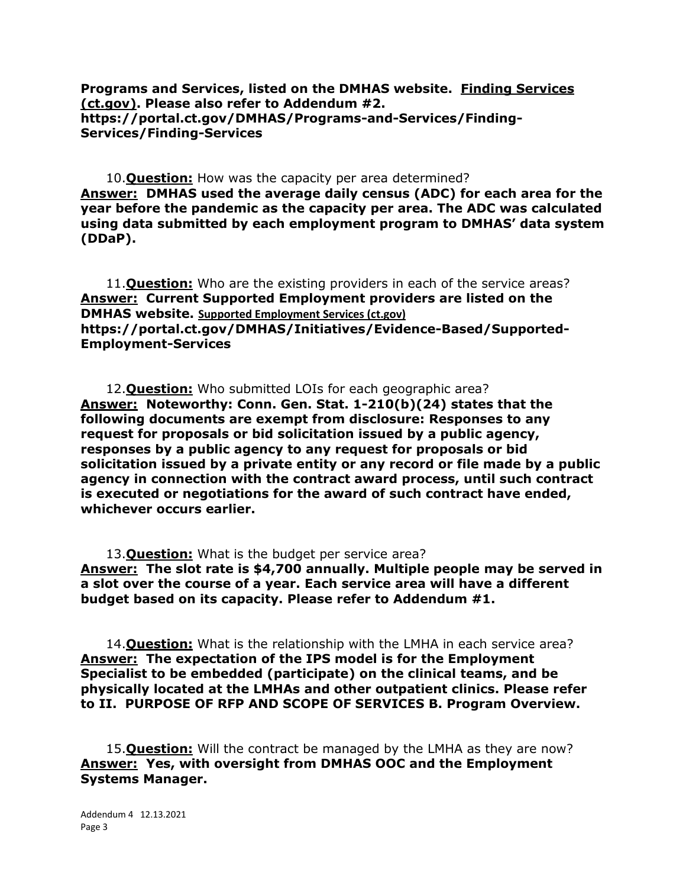**Programs and Services, listed on the DMHAS website. [Finding Services](https://portal.ct.gov/DMHAS/Programs-and-Services/Finding-Services/Finding-Services)  [\(ct.gov\).](https://portal.ct.gov/DMHAS/Programs-and-Services/Finding-Services/Finding-Services) Please also refer to Addendum #2. https://portal.ct.gov/DMHAS/Programs-and-Services/Finding-Services/Finding-Services**

10.**Question:** How was the capacity per area determined? **Answer: DMHAS used the average daily census (ADC) for each area for the year before the pandemic as the capacity per area. The ADC was calculated using data submitted by each employment program to DMHAS' data system (DDaP).**

11.**Question:** Who are the existing providers in each of the service areas? **Answer: Current Supported Employment providers are listed on the DMHAS website. [Supported Employment Services \(ct.gov\)](https://portal.ct.gov/DMHAS/Initiatives/Evidence-Based/Supported-Employment-Services) https://portal.ct.gov/DMHAS/Initiatives/Evidence-Based/Supported-Employment-Services**

12.**Question:** Who submitted LOIs for each geographic area? **Answer: Noteworthy: Conn. Gen. Stat. 1-210(b)(24) states that the following documents are exempt from disclosure: Responses to any request for proposals or bid solicitation issued by a public agency, responses by a public agency to any request for proposals or bid solicitation issued by a private entity or any record or file made by a public agency in connection with the contract award process, until such contract is executed or negotiations for the award of such contract have ended, whichever occurs earlier.**

13.**Question:** What is the budget per service area? **Answer: The slot rate is \$4,700 annually. Multiple people may be served in a slot over the course of a year. Each service area will have a different budget based on its capacity. Please refer to Addendum #1.** 

14.**Question:** What is the relationship with the LMHA in each service area? **Answer: The expectation of the IPS model is for the Employment Specialist to be embedded (participate) on the clinical teams, and be physically located at the LMHAs and other outpatient clinics. Please refer to II. PURPOSE OF RFP AND SCOPE OF SERVICES B. Program Overview.**

15.**Question:** Will the contract be managed by the LMHA as they are now? **Answer: Yes, with oversight from DMHAS OOC and the Employment Systems Manager.**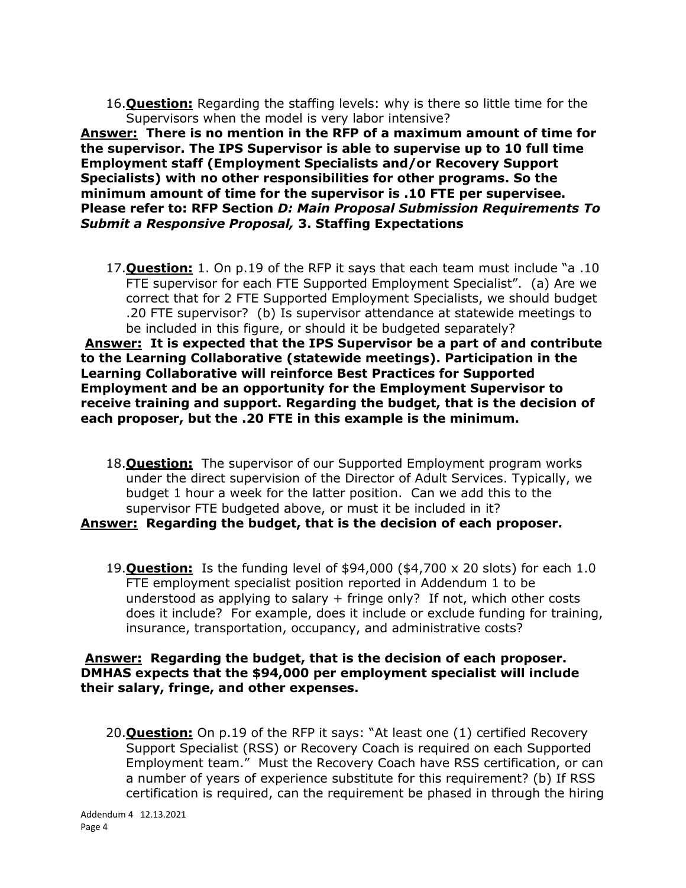16.**Question:** Regarding the staffing levels: why is there so little time for the Supervisors when the model is very labor intensive?

**Answer: There is no mention in the RFP of a maximum amount of time for the supervisor. The IPS Supervisor is able to supervise up to 10 full time Employment staff (Employment Specialists and/or Recovery Support Specialists) with no other responsibilities for other programs. So the minimum amount of time for the supervisor is .10 FTE per supervisee. Please refer to: RFP Section** *D: Main Proposal Submission Requirements To Submit a Responsive Proposal,* **3. Staffing Expectations**

17.**Question:** 1. On p.19 of the RFP it says that each team must include "a .10 FTE supervisor for each FTE Supported Employment Specialist". (a) Are we correct that for 2 FTE Supported Employment Specialists, we should budget .20 FTE supervisor? (b) Is supervisor attendance at statewide meetings to be included in this figure, or should it be budgeted separately?

**Answer: It is expected that the IPS Supervisor be a part of and contribute to the Learning Collaborative (statewide meetings). Participation in the Learning Collaborative will reinforce Best Practices for Supported Employment and be an opportunity for the Employment Supervisor to receive training and support. Regarding the budget, that is the decision of each proposer, but the .20 FTE in this example is the minimum.**

- 18.**Question:** The supervisor of our Supported Employment program works under the direct supervision of the Director of Adult Services. Typically, we budget 1 hour a week for the latter position. Can we add this to the supervisor FTE budgeted above, or must it be included in it? **Answer: Regarding the budget, that is the decision of each proposer.**
	- 19.**Question:** Is the funding level of \$94,000 (\$4,700 x 20 slots) for each 1.0 FTE employment specialist position reported in Addendum 1 to be understood as applying to salary + fringe only? If not, which other costs does it include? For example, does it include or exclude funding for training, insurance, transportation, occupancy, and administrative costs?

## **Answer: Regarding the budget, that is the decision of each proposer. DMHAS expects that the \$94,000 per employment specialist will include their salary, fringe, and other expenses.**

20.**Question:** On p.19 of the RFP it says: "At least one (1) certified Recovery Support Specialist (RSS) or Recovery Coach is required on each Supported Employment team." Must the Recovery Coach have RSS certification, or can a number of years of experience substitute for this requirement? (b) If RSS certification is required, can the requirement be phased in through the hiring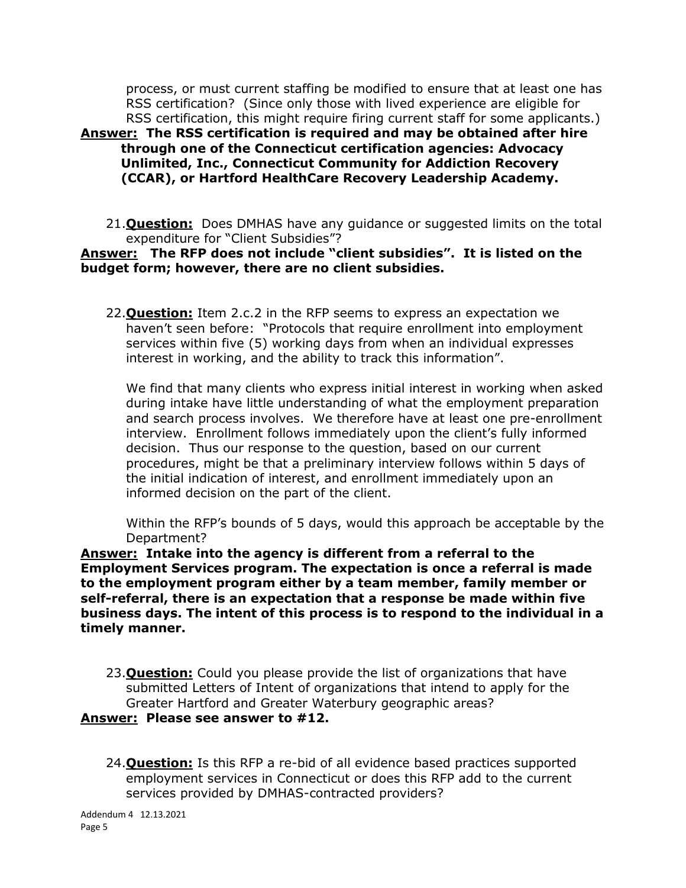process, or must current staffing be modified to ensure that at least one has RSS certification? (Since only those with lived experience are eligible for RSS certification, this might require firing current staff for some applicants.) **Answer: The RSS certification is required and may be obtained after hire through one of the Connecticut certification agencies: Advocacy Unlimited, Inc., Connecticut Community for Addiction Recovery (CCAR), or Hartford HealthCare Recovery Leadership Academy.**

21.**Question:** Does DMHAS have any guidance or suggested limits on the total expenditure for "Client Subsidies"?

### **Answer: The RFP does not include "client subsidies". It is listed on the budget form; however, there are no client subsidies.**

22.**Question:** Item 2.c.2 in the RFP seems to express an expectation we haven't seen before: "Protocols that require enrollment into employment services within five (5) working days from when an individual expresses interest in working, and the ability to track this information".

We find that many clients who express initial interest in working when asked during intake have little understanding of what the employment preparation and search process involves. We therefore have at least one pre-enrollment interview. Enrollment follows immediately upon the client's fully informed decision. Thus our response to the question, based on our current procedures, might be that a preliminary interview follows within 5 days of the initial indication of interest, and enrollment immediately upon an informed decision on the part of the client.

Within the RFP's bounds of 5 days, would this approach be acceptable by the Department?

**Answer: Intake into the agency is different from a referral to the Employment Services program. The expectation is once a referral is made to the employment program either by a team member, family member or self-referral, there is an expectation that a response be made within five business days. The intent of this process is to respond to the individual in a timely manner.**

- 23.**Question:** Could you please provide the list of organizations that have submitted Letters of Intent of organizations that intend to apply for the Greater Hartford and Greater Waterbury geographic areas? **Answer: Please see answer to #12.**
	- 24.**Question:** Is this RFP a re-bid of all evidence based practices supported employment services in Connecticut or does this RFP add to the current services provided by DMHAS-contracted providers?

Addendum 4 12.13.2021 Page 5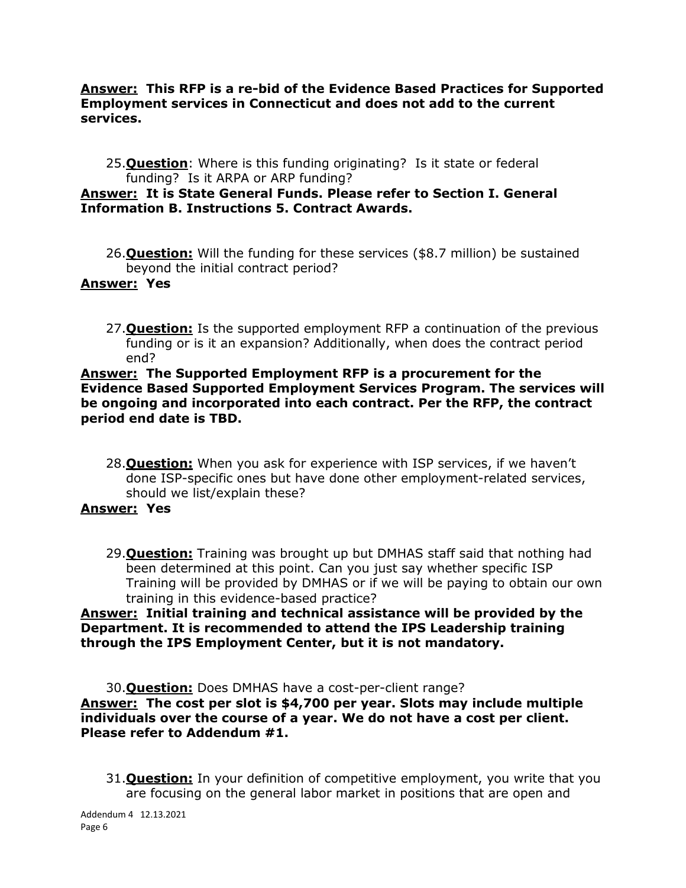### **Answer: This RFP is a re-bid of the Evidence Based Practices for Supported Employment services in Connecticut and does not add to the current services.**

25.**Question**: Where is this funding originating? Is it state or federal funding? Is it ARPA or ARP funding?

## **Answer: It is State General Funds. Please refer to Section I. General Information B. Instructions 5. Contract Awards.**

26.**Question:** Will the funding for these services (\$8.7 million) be sustained beyond the initial contract period?

## **Answer: Yes**

27.**Question:** Is the supported employment RFP a continuation of the previous funding or is it an expansion? Additionally, when does the contract period end?

### **Answer: The Supported Employment RFP is a procurement for the Evidence Based Supported Employment Services Program. The services will be ongoing and incorporated into each contract. Per the RFP, the contract period end date is TBD.**

28.**Question:** When you ask for experience with ISP services, if we haven't done ISP-specific ones but have done other employment-related services, should we list/explain these?

## **Answer: Yes**

29.**Question:** Training was brought up but DMHAS staff said that nothing had been determined at this point. Can you just say whether specific ISP Training will be provided by DMHAS or if we will be paying to obtain our own training in this evidence-based practice?

## **Answer: Initial training and technical assistance will be provided by the Department. It is recommended to attend the IPS Leadership training through the IPS Employment Center, but it is not mandatory.**

30.**Question:** Does DMHAS have a cost-per-client range? **Answer: The cost per slot is \$4,700 per year. Slots may include multiple individuals over the course of a year. We do not have a cost per client. Please refer to Addendum #1.** 

31.**Question:** In your definition of competitive employment, you write that you are focusing on the general labor market in positions that are open and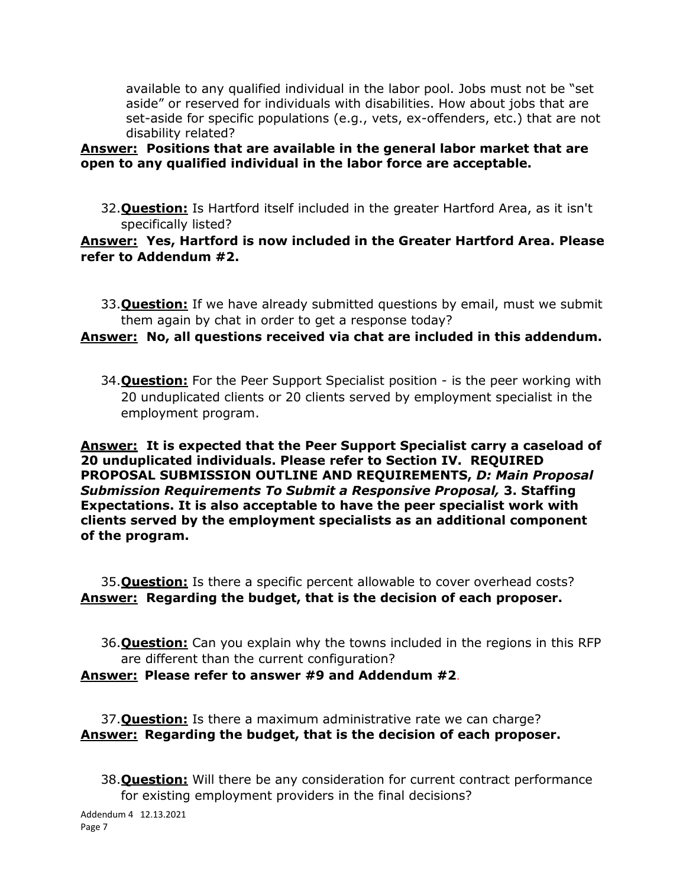available to any qualified individual in the labor pool. Jobs must not be "set aside" or reserved for individuals with disabilities. How about jobs that are set-aside for specific populations (e.g., vets, ex-offenders, etc.) that are not disability related?

## **Answer: Positions that are available in the general labor market that are open to any qualified individual in the labor force are acceptable.**

32.**Question:** Is Hartford itself included in the greater Hartford Area, as it isn't specifically listed?

## **Answer: Yes, Hartford is now included in the Greater Hartford Area. Please refer to Addendum #2.**

33.**Question:** If we have already submitted questions by email, must we submit them again by chat in order to get a response today?

# **Answer: No, all questions received via chat are included in this addendum.**

34.**Question:** For the Peer Support Specialist position - is the peer working with 20 unduplicated clients or 20 clients served by employment specialist in the employment program.

**Answer: It is expected that the Peer Support Specialist carry a caseload of 20 unduplicated individuals. Please refer to Section IV. REQUIRED PROPOSAL SUBMISSION OUTLINE AND REQUIREMENTS,** *D: Main Proposal Submission Requirements To Submit a Responsive Proposal,* **3. Staffing Expectations. It is also acceptable to have the peer specialist work with clients served by the employment specialists as an additional component of the program.**

35.**Question:** Is there a specific percent allowable to cover overhead costs? **Answer: Regarding the budget, that is the decision of each proposer.**

36.**Question:** Can you explain why the towns included in the regions in this RFP are different than the current configuration? **Answer: Please refer to answer #9 and Addendum #2**.

37.**Question:** Is there a maximum administrative rate we can charge? **Answer: Regarding the budget, that is the decision of each proposer.**

38.**Question:** Will there be any consideration for current contract performance for existing employment providers in the final decisions?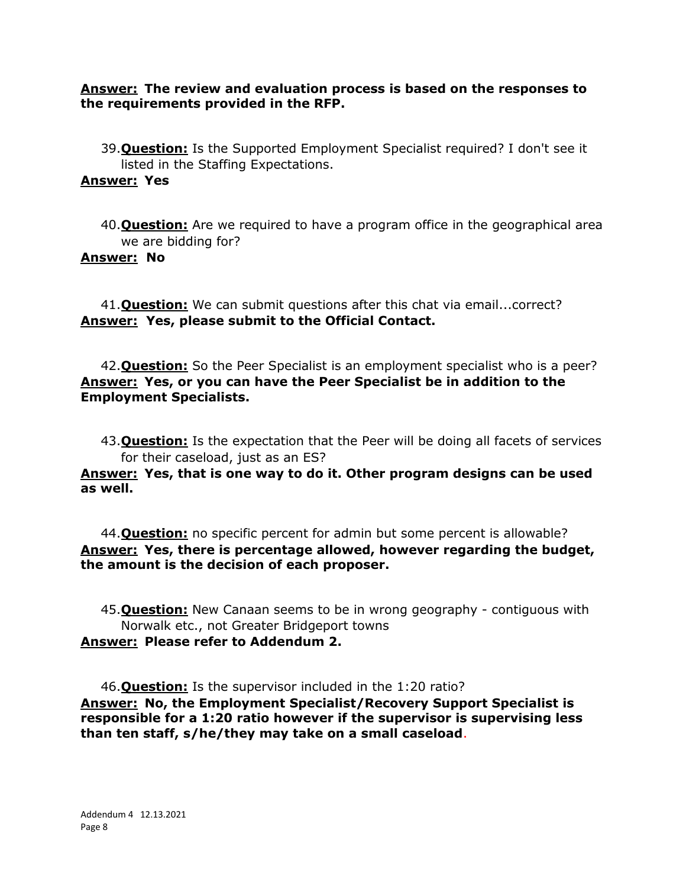**Answer: The review and evaluation process is based on the responses to the requirements provided in the RFP.**

39.**Question:** Is the Supported Employment Specialist required? I don't see it listed in the Staffing Expectations.

### **Answer: Yes**

40.**Question:** Are we required to have a program office in the geographical area we are bidding for?

### **Answer: No**

41.**Question:** We can submit questions after this chat via email...correct? **Answer: Yes, please submit to the Official Contact.**

42.**Question:** So the Peer Specialist is an employment specialist who is a peer? **Answer: Yes, or you can have the Peer Specialist be in addition to the Employment Specialists.**

43.**Question:** Is the expectation that the Peer will be doing all facets of services for their caseload, just as an ES?

**Answer: Yes, that is one way to do it. Other program designs can be used as well.**

44.**Question:** no specific percent for admin but some percent is allowable? **Answer: Yes, there is percentage allowed, however regarding the budget, the amount is the decision of each proposer.**

45.**Question:** New Canaan seems to be in wrong geography - contiguous with Norwalk etc., not Greater Bridgeport towns **Answer: Please refer to Addendum 2.**

46.**Question:** Is the supervisor included in the 1:20 ratio? **Answer: No, the Employment Specialist/Recovery Support Specialist is responsible for a 1:20 ratio however if the supervisor is supervising less than ten staff, s/he/they may take on a small caseload**.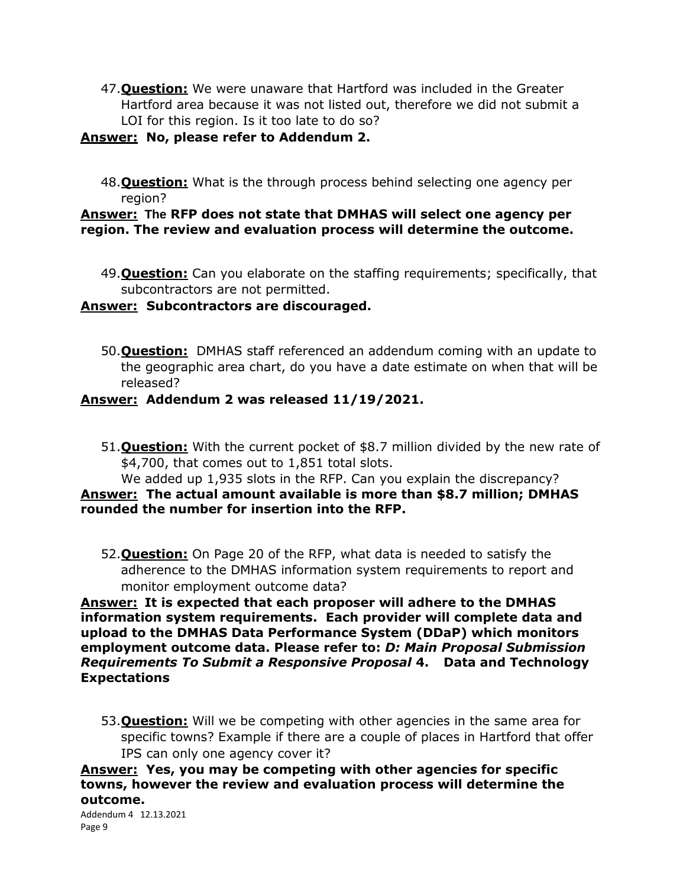47.**Question:** We were unaware that Hartford was included in the Greater Hartford area because it was not listed out, therefore we did not submit a LOI for this region. Is it too late to do so?

### **Answer: No, please refer to Addendum 2.**

48.**Question:** What is the through process behind selecting one agency per region?

## **Answer: The RFP does not state that DMHAS will select one agency per region. The review and evaluation process will determine the outcome.**

49.**Question:** Can you elaborate on the staffing requirements; specifically, that subcontractors are not permitted.

## **Answer: Subcontractors are discouraged.**

50.**Question:** DMHAS staff referenced an addendum coming with an update to the geographic area chart, do you have a date estimate on when that will be released?

## **Answer: Addendum 2 was released 11/19/2021.**

51.**Question:** With the current pocket of \$8.7 million divided by the new rate of \$4,700, that comes out to 1,851 total slots.

### We added up 1,935 slots in the RFP. Can you explain the discrepancy? **Answer: The actual amount available is more than \$8.7 million; DMHAS rounded the number for insertion into the RFP.**

52.**Question:** On Page 20 of the RFP, what data is needed to satisfy the adherence to the DMHAS information system requirements to report and monitor employment outcome data?

**Answer: It is expected that each proposer will adhere to the DMHAS information system requirements. Each provider will complete data and upload to the DMHAS Data Performance System (DDaP) which monitors employment outcome data. Please refer to:** *D: Main Proposal Submission Requirements To Submit a Responsive Proposal* **4. Data and Technology Expectations**

53.**Question:** Will we be competing with other agencies in the same area for specific towns? Example if there are a couple of places in Hartford that offer IPS can only one agency cover it?

**Answer: Yes, you may be competing with other agencies for specific towns, however the review and evaluation process will determine the outcome.** 

```
Addendum 4 12.13.2021 
Page 9
```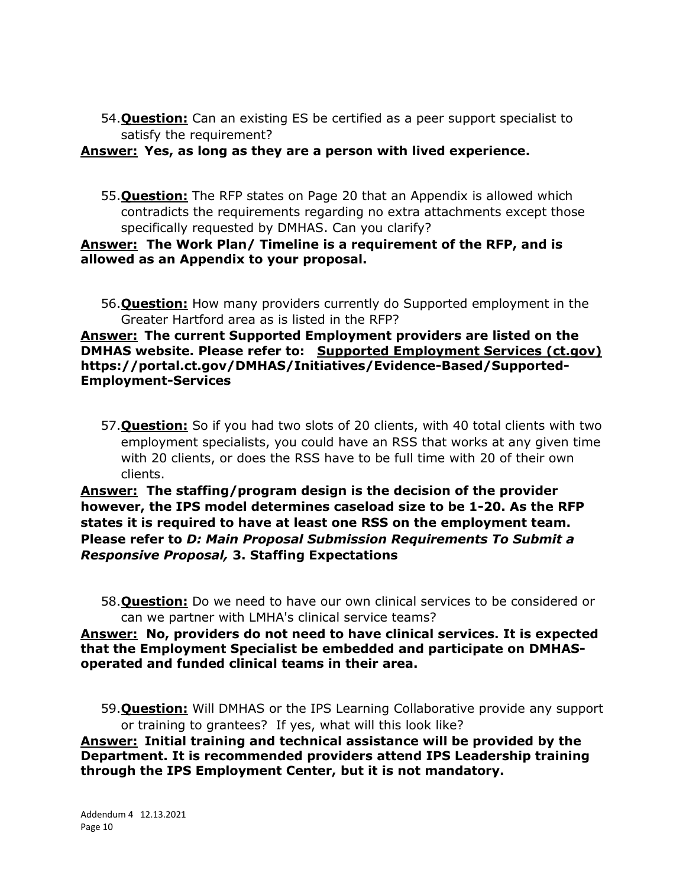54.**Question:** Can an existing ES be certified as a peer support specialist to satisfy the requirement?

## **Answer: Yes, as long as they are a person with lived experience.**

55.**Question:** The RFP states on Page 20 that an Appendix is allowed which contradicts the requirements regarding no extra attachments except those specifically requested by DMHAS. Can you clarify?

## **Answer: The Work Plan/ Timeline is a requirement of the RFP, and is allowed as an Appendix to your proposal.**

56.**Question:** How many providers currently do Supported employment in the Greater Hartford area as is listed in the RFP?

### **Answer: The current Supported Employment providers are listed on the DMHAS website. Please refer to: [Supported Employment Services \(ct.gov\)](https://portal.ct.gov/DMHAS/Initiatives/Evidence-Based/Supported-Employment-Services) https://portal.ct.gov/DMHAS/Initiatives/Evidence-Based/Supported-Employment-Services**

57.**Question:** So if you had two slots of 20 clients, with 40 total clients with two employment specialists, you could have an RSS that works at any given time with 20 clients, or does the RSS have to be full time with 20 of their own clients.

**Answer: The staffing/program design is the decision of the provider however, the IPS model determines caseload size to be 1-20. As the RFP states it is required to have at least one RSS on the employment team. Please refer to** *D: Main Proposal Submission Requirements To Submit a Responsive Proposal,* **3. Staffing Expectations**

58.**Question:** Do we need to have our own clinical services to be considered or can we partner with LMHA's clinical service teams?

# **Answer: No, providers do not need to have clinical services. It is expected that the Employment Specialist be embedded and participate on DMHASoperated and funded clinical teams in their area.**

59.**Question:** Will DMHAS or the IPS Learning Collaborative provide any support or training to grantees? If yes, what will this look like?

**Answer: Initial training and technical assistance will be provided by the Department. It is recommended providers attend IPS Leadership training through the IPS Employment Center, but it is not mandatory.**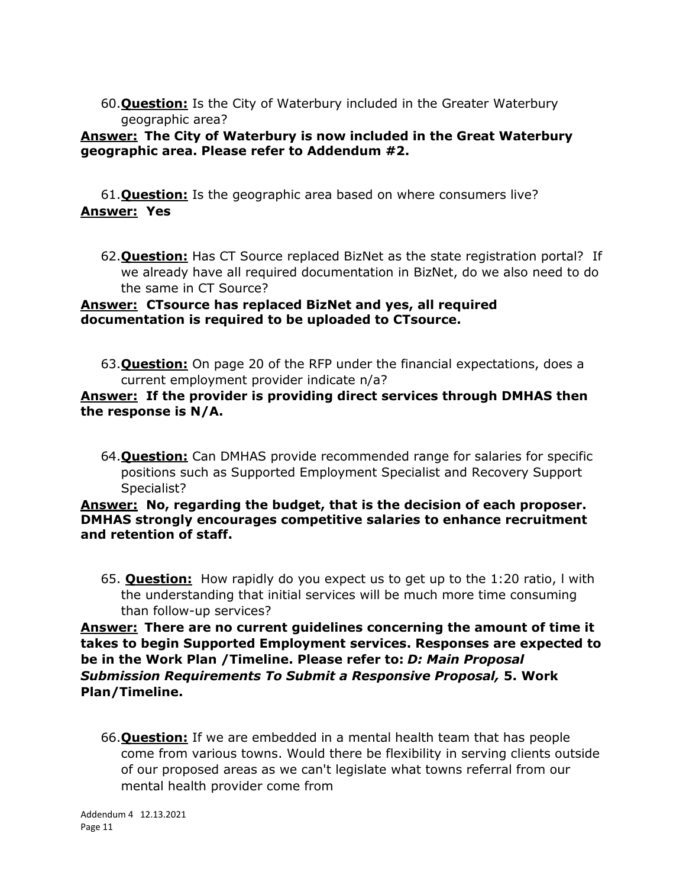60.**Question:** Is the City of Waterbury included in the Greater Waterbury geographic area?

## **Answer: The City of Waterbury is now included in the Great Waterbury geographic area. Please refer to Addendum #2.**

61.**Question:** Is the geographic area based on where consumers live? **Answer: Yes**

62.**Question:** Has CT Source replaced BizNet as the state registration portal? If we already have all required documentation in BizNet, do we also need to do the same in CT Source?

## **Answer: CTsource has replaced BizNet and yes, all required documentation is required to be uploaded to CTsource.**

63.**Question:** On page 20 of the RFP under the financial expectations, does a current employment provider indicate n/a?

## **Answer: If the provider is providing direct services through DMHAS then the response is N/A.**

64.**Question:** Can DMHAS provide recommended range for salaries for specific positions such as Supported Employment Specialist and Recovery Support Specialist?

## **Answer: No, regarding the budget, that is the decision of each proposer. DMHAS strongly encourages competitive salaries to enhance recruitment and retention of staff.**

65. **Question:** How rapidly do you expect us to get up to the 1:20 ratio, l with the understanding that initial services will be much more time consuming than follow-up services?

# **Answer: There are no current guidelines concerning the amount of time it takes to begin Supported Employment services. Responses are expected to be in the Work Plan /Timeline. Please refer to:** *D: Main Proposal Submission Requirements To Submit a Responsive Proposal,* **5. Work Plan/Timeline.**

66.**Question:** If we are embedded in a mental health team that has people come from various towns. Would there be flexibility in serving clients outside of our proposed areas as we can't legislate what towns referral from our mental health provider come from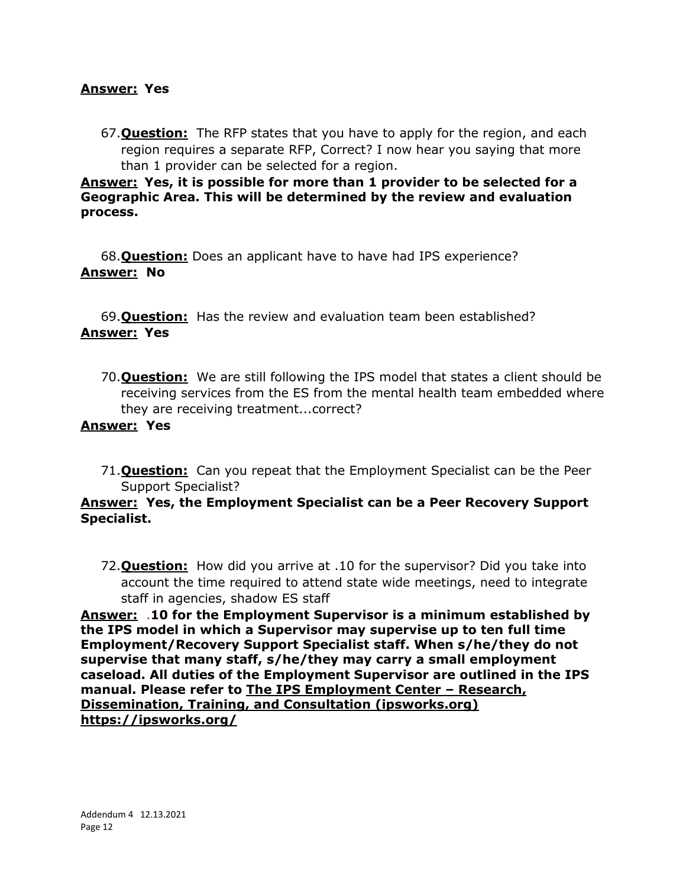### **Answer: Yes**

67.**Question:** The RFP states that you have to apply for the region, and each region requires a separate RFP, Correct? I now hear you saying that more than 1 provider can be selected for a region.

**Answer: Yes, it is possible for more than 1 provider to be selected for a Geographic Area. This will be determined by the review and evaluation process.** 

68.**Question:** Does an applicant have to have had IPS experience? **Answer: No**

69.**Question:** Has the review and evaluation team been established? **Answer: Yes**

70.**Question:** We are still following the IPS model that states a client should be receiving services from the ES from the mental health team embedded where they are receiving treatment...correct?

## **Answer: Yes**

71.**Question:** Can you repeat that the Employment Specialist can be the Peer Support Specialist?

## **Answer: Yes, the Employment Specialist can be a Peer Recovery Support Specialist.**

72.**Question:** How did you arrive at .10 for the supervisor? Did you take into account the time required to attend state wide meetings, need to integrate staff in agencies, shadow ES staff

**Answer:** .**10 for the Employment Supervisor is a minimum established by the IPS model in which a Supervisor may supervise up to ten full time Employment/Recovery Support Specialist staff. When s/he/they do not supervise that many staff, s/he/they may carry a small employment caseload. All duties of the Employment Supervisor are outlined in the IPS manual. Please refer to [The IPS Employment Center](https://ipsworks.org/) – Research, [Dissemination, Training, and Consultation \(ipsworks.org\)](https://ipsworks.org/) https://ipsworks.org/**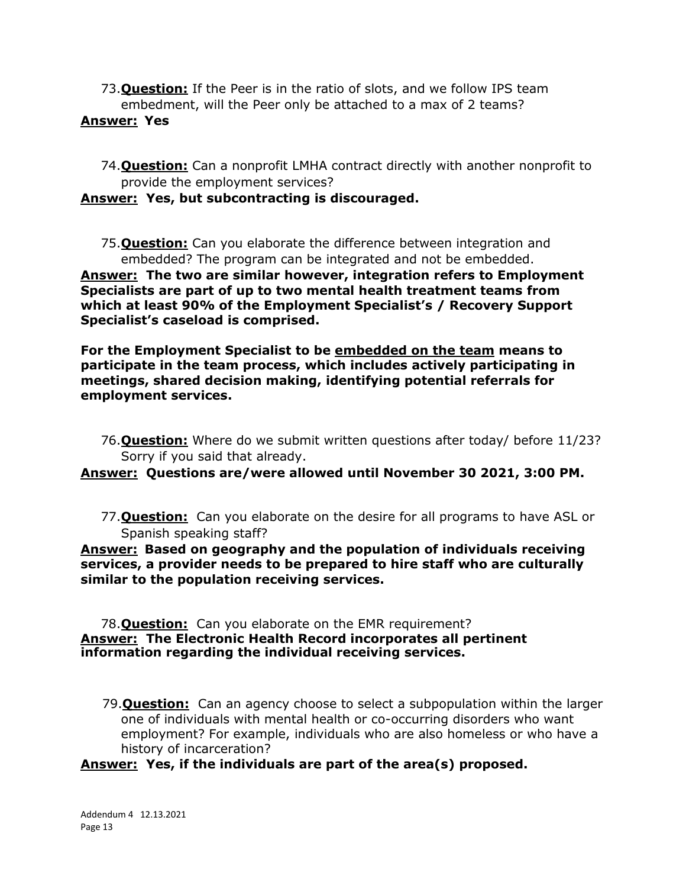73.**Question:** If the Peer is in the ratio of slots, and we follow IPS team embedment, will the Peer only be attached to a max of 2 teams?

## **Answer: Yes**

74.**Question:** Can a nonprofit LMHA contract directly with another nonprofit to provide the employment services?

# **Answer: Yes, but subcontracting is discouraged.**

75.**Question:** Can you elaborate the difference between integration and embedded? The program can be integrated and not be embedded.

**Answer: The two are similar however, integration refers to Employment Specialists are part of up to two mental health treatment teams from which at least 90% of the Employment Specialist's / Recovery Support Specialist's caseload is comprised.**

**For the Employment Specialist to be embedded on the team means to participate in the team process, which includes actively participating in meetings, shared decision making, identifying potential referrals for employment services.**

76.**Question:** Where do we submit written questions after today/ before 11/23? Sorry if you said that already.

## **Answer: Questions are/were allowed until November 30 2021, 3:00 PM.**

77.**Question:** Can you elaborate on the desire for all programs to have ASL or Spanish speaking staff?

**Answer: Based on geography and the population of individuals receiving services, a provider needs to be prepared to hire staff who are culturally similar to the population receiving services.**

#### 78.**Question:** Can you elaborate on the EMR requirement? **Answer: The Electronic Health Record incorporates all pertinent information regarding the individual receiving services.**

 79.**Question:** Can an agency choose to select a subpopulation within the larger one of individuals with mental health or co-occurring disorders who want employment? For example, individuals who are also homeless or who have a history of incarceration?

## **Answer: Yes, if the individuals are part of the area(s) proposed.**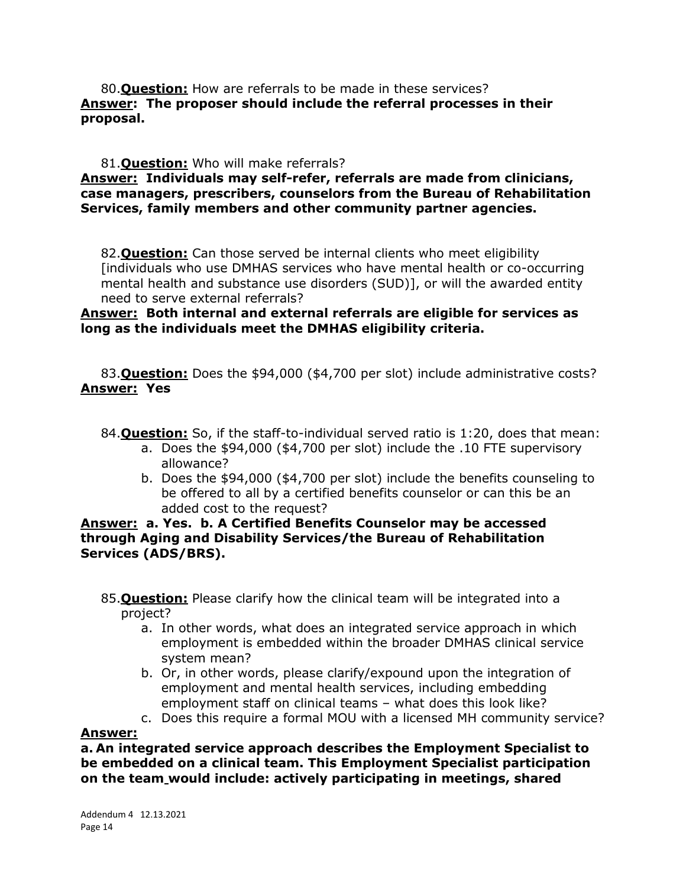80.**Question:** How are referrals to be made in these services? **Answer: The proposer should include the referral processes in their proposal.** 

#### 81.**Question:** Who will make referrals?

### **Answer: Individuals may self-refer, referrals are made from clinicians, case managers, prescribers, counselors from the Bureau of Rehabilitation Services, family members and other community partner agencies.**

82.**Question:** Can those served be internal clients who meet eligibility [individuals who use DMHAS services who have mental health or co-occurring mental health and substance use disorders (SUD)], or will the awarded entity need to serve external referrals?

### **Answer: Both internal and external referrals are eligible for services as long as the individuals meet the DMHAS eligibility criteria.**

83.**Question:** Does the \$94,000 (\$4,700 per slot) include administrative costs? **Answer: Yes**

- 84.**Question:** So, if the staff-to-individual served ratio is 1:20, does that mean:
	- a. Does the \$94,000 (\$4,700 per slot) include the .10 FTE supervisory allowance?
	- b. Does the \$94,000 (\$4,700 per slot) include the benefits counseling to be offered to all by a certified benefits counselor or can this be an added cost to the request?

### **Answer: a. Yes. b. A Certified Benefits Counselor may be accessed through Aging and Disability Services/the Bureau of Rehabilitation Services (ADS/BRS).**

- 85.**Question:** Please clarify how the clinical team will be integrated into a project?
	- a. In other words, what does an integrated service approach in which employment is embedded within the broader DMHAS clinical service system mean?
	- b. Or, in other words, please clarify/expound upon the integration of employment and mental health services, including embedding employment staff on clinical teams – what does this look like?
	- c. Does this require a formal MOU with a licensed MH community service?

#### **Answer:**

**a. An integrated service approach describes the Employment Specialist to be embedded on a clinical team. This Employment Specialist participation on the team would include: actively participating in meetings, shared**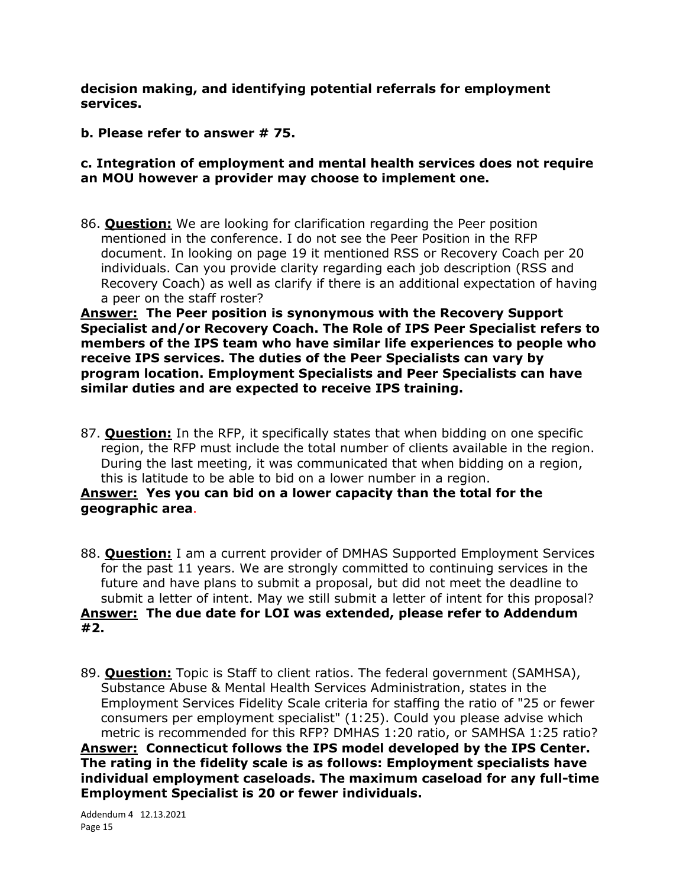**decision making, and identifying potential referrals for employment services.**

## **b. Please refer to answer # 75.**

## **c. Integration of employment and mental health services does not require an MOU however a provider may choose to implement one.**

86. **Question:** We are looking for clarification regarding the Peer position mentioned in the conference. I do not see the Peer Position in the RFP document. In looking on page 19 it mentioned RSS or Recovery Coach per 20 individuals. Can you provide clarity regarding each job description (RSS and Recovery Coach) as well as clarify if there is an additional expectation of having a peer on the staff roster?

**Answer: The Peer position is synonymous with the Recovery Support Specialist and/or Recovery Coach. The Role of IPS Peer Specialist refers to members of the IPS team who have similar life experiences to people who receive IPS services. The duties of the Peer Specialists can vary by program location. Employment Specialists and Peer Specialists can have similar duties and are expected to receive IPS training.**

87. **Question:** In the RFP, it specifically states that when bidding on one specific region, the RFP must include the total number of clients available in the region. During the last meeting, it was communicated that when bidding on a region, this is latitude to be able to bid on a lower number in a region.

## **Answer: Yes you can bid on a lower capacity than the total for the geographic area**.

- 88. **Question:** I am a current provider of DMHAS Supported Employment Services for the past 11 years. We are strongly committed to continuing services in the future and have plans to submit a proposal, but did not meet the deadline to submit a letter of intent. May we still submit a letter of intent for this proposal? **Answer: The due date for LOI was extended, please refer to Addendum #2.**
- 89. **Question:** Topic is Staff to client ratios. The federal government (SAMHSA), Substance Abuse & Mental Health Services Administration, states in the Employment Services Fidelity Scale criteria for staffing the ratio of "25 or fewer consumers per employment specialist" (1:25). Could you please advise which metric is recommended for this RFP? DMHAS 1:20 ratio, or SAMHSA 1:25 ratio? **Answer: Connecticut follows the IPS model developed by the IPS Center. The rating in the fidelity scale is as follows: Employment specialists have individual employment caseloads. The maximum caseload for any full-time Employment Specialist is 20 or fewer individuals.**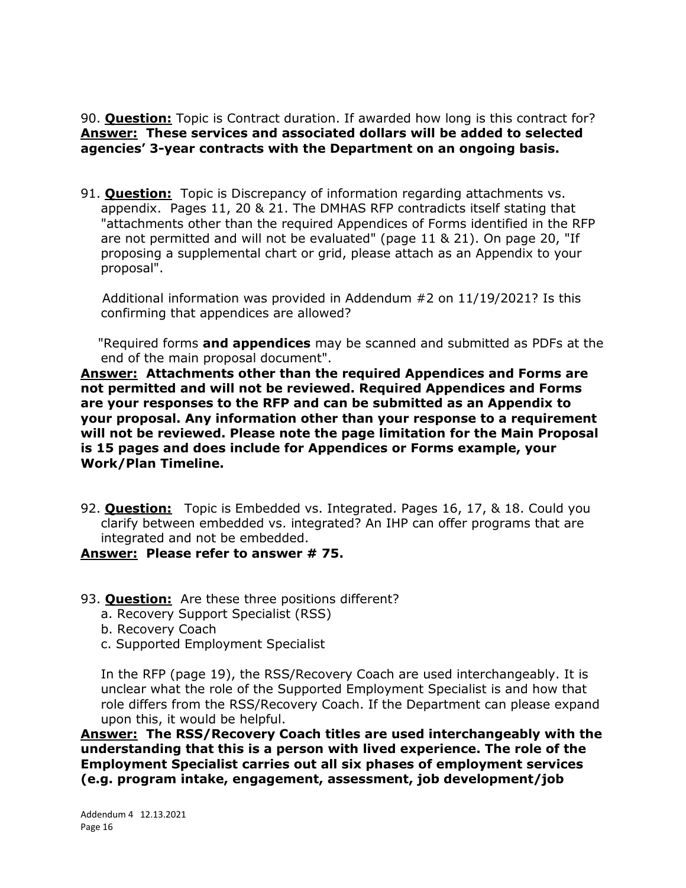90. **Question:** Topic is Contract duration. If awarded how long is this contract for? **Answer: These services and associated dollars will be added to selected agencies' 3-year contracts with the Department on an ongoing basis.**

91. **Question:** Topic is Discrepancy of information regarding attachments vs. appendix. Pages 11, 20 & 21. The DMHAS RFP contradicts itself stating that "attachments other than the required Appendices of Forms identified in the RFP are not permitted and will not be evaluated" (page 11 & 21). On page 20, "If proposing a supplemental chart or grid, please attach as an Appendix to your proposal".

 Additional information was provided in Addendum #2 on 11/19/2021? Is this confirming that appendices are allowed?

 "Required forms **and appendices** may be scanned and submitted as PDFs at the end of the main proposal document".

**Answer: Attachments other than the required Appendices and Forms are not permitted and will not be reviewed. Required Appendices and Forms are your responses to the RFP and can be submitted as an Appendix to your proposal. Any information other than your response to a requirement will not be reviewed. Please note the page limitation for the Main Proposal is 15 pages and does include for Appendices or Forms example, your Work/Plan Timeline.**

92. **Question:** Topic is Embedded vs. Integrated. Pages 16, 17, & 18. Could you clarify between embedded vs. integrated? An IHP can offer programs that are integrated and not be embedded.

#### **Answer: Please refer to answer # 75.**

- 93. **Question:** Are these three positions different?
	- a. Recovery Support Specialist (RSS)
	- b. Recovery Coach
	- c. Supported Employment Specialist

In the RFP (page 19), the RSS/Recovery Coach are used interchangeably. It is unclear what the role of the Supported Employment Specialist is and how that role differs from the RSS/Recovery Coach. If the Department can please expand upon this, it would be helpful.

**Answer: The RSS/Recovery Coach titles are used interchangeably with the understanding that this is a person with lived experience. The role of the Employment Specialist carries out all six phases of employment services (e.g. program intake, engagement, assessment, job development/job**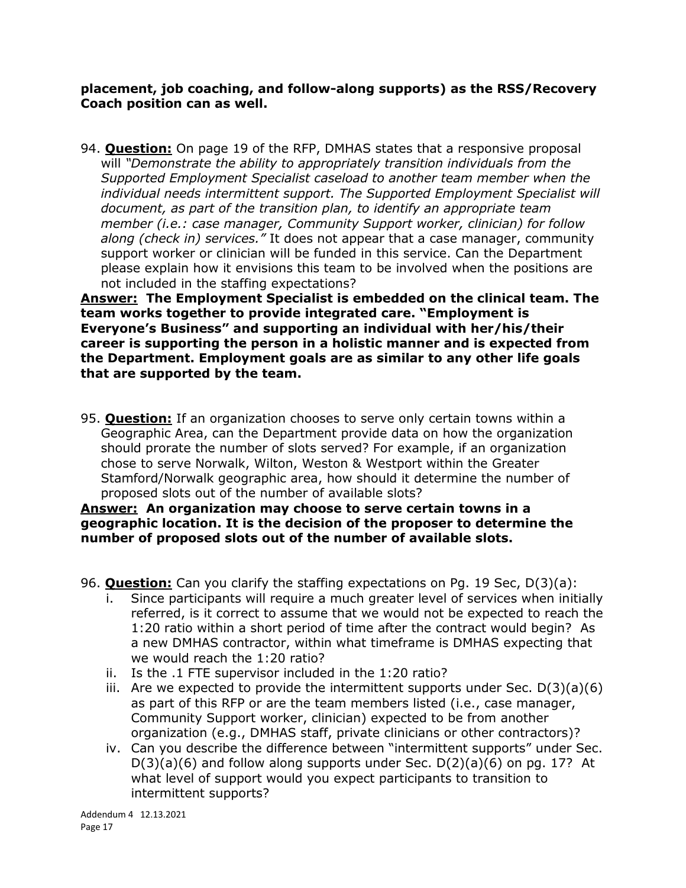**placement, job coaching, and follow-along supports) as the RSS/Recovery Coach position can as well.**

94. **Question:** On page 19 of the RFP, DMHAS states that a responsive proposal will *"Demonstrate the ability to appropriately transition individuals from the Supported Employment Specialist caseload to another team member when the individual needs intermittent support. The Supported Employment Specialist will document, as part of the transition plan, to identify an appropriate team member (i.e.: case manager, Community Support worker, clinician) for follow along (check in) services."* It does not appear that a case manager, community support worker or clinician will be funded in this service. Can the Department please explain how it envisions this team to be involved when the positions are not included in the staffing expectations?

**Answer: The Employment Specialist is embedded on the clinical team. The team works together to provide integrated care. "Employment is Everyone's Business" and supporting an individual with her/his/their career is supporting the person in a holistic manner and is expected from the Department. Employment goals are as similar to any other life goals that are supported by the team.**

95. **Question:** If an organization chooses to serve only certain towns within a Geographic Area, can the Department provide data on how the organization should prorate the number of slots served? For example, if an organization chose to serve Norwalk, Wilton, Weston & Westport within the Greater Stamford/Norwalk geographic area, how should it determine the number of proposed slots out of the number of available slots?

**Answer: An organization may choose to serve certain towns in a geographic location. It is the decision of the proposer to determine the number of proposed slots out of the number of available slots.**

- 96. **Question:** Can you clarify the staffing expectations on Pg. 19 Sec, D(3)(a):
	- i. Since participants will require a much greater level of services when initially referred, is it correct to assume that we would not be expected to reach the 1:20 ratio within a short period of time after the contract would begin? As a new DMHAS contractor, within what timeframe is DMHAS expecting that we would reach the 1:20 ratio?
	- ii. Is the .1 FTE supervisor included in the 1:20 ratio?
	- iii. Are we expected to provide the intermittent supports under Sec.  $D(3)(a)(6)$ as part of this RFP or are the team members listed (i.e., case manager, Community Support worker, clinician) expected to be from another organization (e.g., DMHAS staff, private clinicians or other contractors)?
	- iv. Can you describe the difference between "intermittent supports" under Sec.  $D(3)(a)(6)$  and follow along supports under Sec.  $D(2)(a)(6)$  on pg. 17? At what level of support would you expect participants to transition to intermittent supports?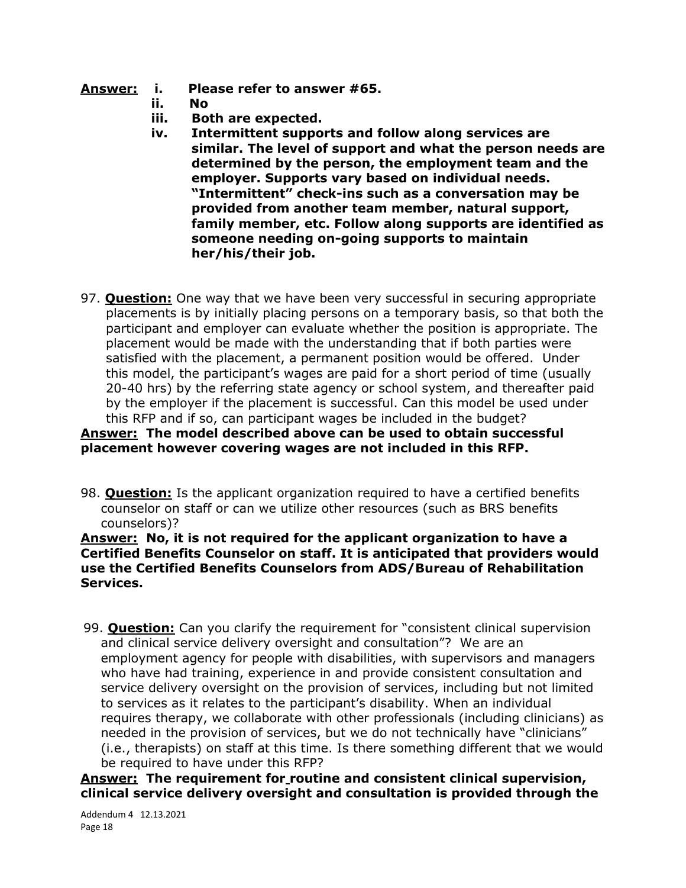- **Answer: i. Please refer to answer #65.** 
	- **ii. No**
	- **iii. Both are expected.**
	- **iv. Intermittent supports and follow along services are similar. The level of support and what the person needs are determined by the person, the employment team and the employer. Supports vary based on individual needs. "Intermittent" check-ins such as a conversation may be provided from another team member, natural support, family member, etc. Follow along supports are identified as someone needing on-going supports to maintain her/his/their job.**
- 97. **Question:** One way that we have been very successful in securing appropriate placements is by initially placing persons on a temporary basis, so that both the participant and employer can evaluate whether the position is appropriate. The placement would be made with the understanding that if both parties were satisfied with the placement, a permanent position would be offered. Under this model, the participant's wages are paid for a short period of time (usually 20-40 hrs) by the referring state agency or school system, and thereafter paid by the employer if the placement is successful. Can this model be used under this RFP and if so, can participant wages be included in the budget?

## **Answer: The model described above can be used to obtain successful placement however covering wages are not included in this RFP.**

98. **Question:** Is the applicant organization required to have a certified benefits counselor on staff or can we utilize other resources (such as BRS benefits counselors)?

**Answer: No, it is not required for the applicant organization to have a Certified Benefits Counselor on staff. It is anticipated that providers would use the Certified Benefits Counselors from ADS/Bureau of Rehabilitation Services.**

99. **Question:** Can you clarify the requirement for "consistent clinical supervision and clinical service delivery oversight and consultation"? We are an employment agency for people with disabilities, with supervisors and managers who have had training, experience in and provide consistent consultation and service delivery oversight on the provision of services, including but not limited to services as it relates to the participant's disability. When an individual requires therapy, we collaborate with other professionals (including clinicians) as needed in the provision of services, but we do not technically have "clinicians" (i.e., therapists) on staff at this time. Is there something different that we would be required to have under this RFP?

**Answer: The requirement for routine and consistent clinical supervision, clinical service delivery oversight and consultation is provided through the** 

Addendum 4 12.13.2021 Page 18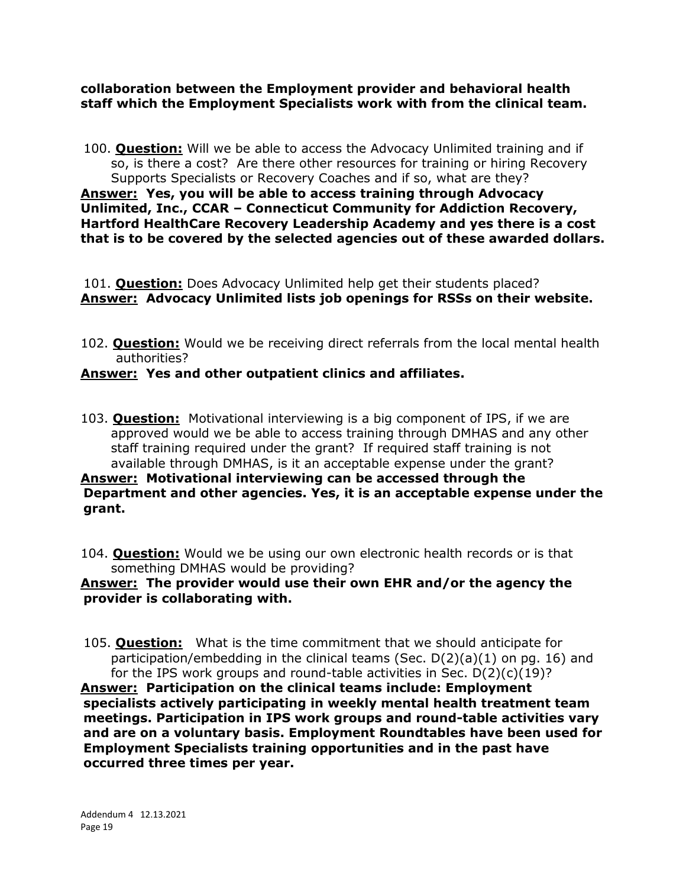**collaboration between the Employment provider and behavioral health staff which the Employment Specialists work with from the clinical team.**

100. **Question:** Will we be able to access the Advocacy Unlimited training and if so, is there a cost? Are there other resources for training or hiring Recovery Supports Specialists or Recovery Coaches and if so, what are they? **Answer: Yes, you will be able to access training through Advocacy Unlimited, Inc., CCAR – Connecticut Community for Addiction Recovery, Hartford HealthCare Recovery Leadership Academy and yes there is a cost that is to be covered by the selected agencies out of these awarded dollars.**

101. **Question:** Does Advocacy Unlimited help get their students placed? **Answer: Advocacy Unlimited lists job openings for RSSs on their website.**

102. **Question:** Would we be receiving direct referrals from the local mental health authorities?

## **Answer: Yes and other outpatient clinics and affiliates.**

103. **Question:** Motivational interviewing is a big component of IPS, if we are approved would we be able to access training through DMHAS and any other staff training required under the grant? If required staff training is not available through DMHAS, is it an acceptable expense under the grant?

## **Answer: Motivational interviewing can be accessed through the Department and other agencies. Yes, it is an acceptable expense under the grant.**

104. **Question:** Would we be using our own electronic health records or is that something DMHAS would be providing?

## **Answer: The provider would use their own EHR and/or the agency the provider is collaborating with.**

105. **Question:** What is the time commitment that we should anticipate for participation/embedding in the clinical teams (Sec.  $D(2)(a)(1)$  on pg. 16) and for the IPS work groups and round-table activities in Sec.  $D(2)(c)(19)$ ?

**Answer: Participation on the clinical teams include: Employment specialists actively participating in weekly mental health treatment team meetings. Participation in IPS work groups and round-table activities vary and are on a voluntary basis. Employment Roundtables have been used for Employment Specialists training opportunities and in the past have occurred three times per year.**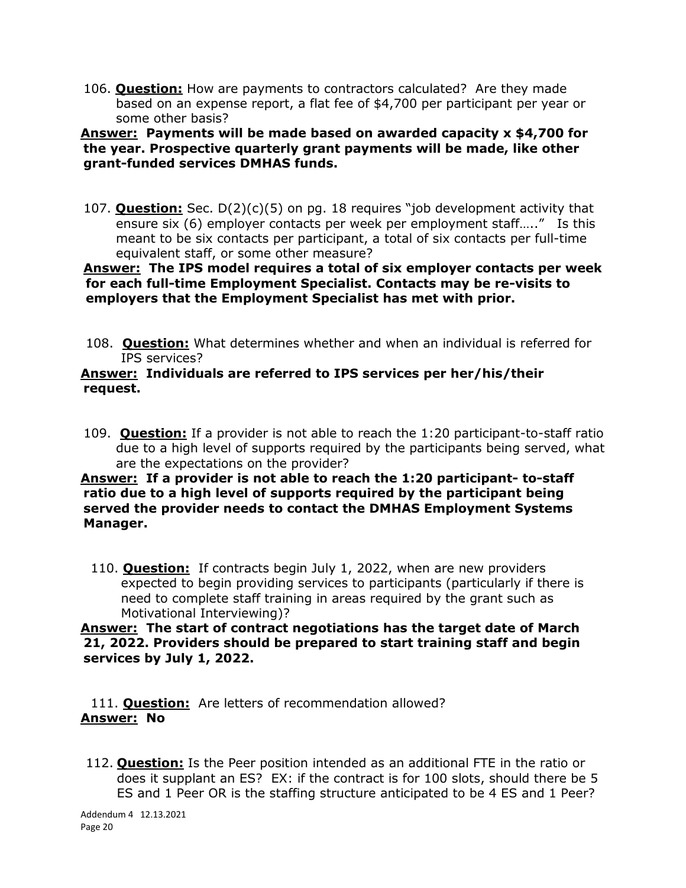106. **Question:** How are payments to contractors calculated? Are they made based on an expense report, a flat fee of \$4,700 per participant per year or some other basis?

## **Answer: Payments will be made based on awarded capacity x \$4,700 for the year. Prospective quarterly grant payments will be made, like other grant-funded services DMHAS funds.**

107. **Question:** Sec. D(2)(c)(5) on pg. 18 requires "job development activity that ensure six (6) employer contacts per week per employment staff….." Is this meant to be six contacts per participant, a total of six contacts per full-time equivalent staff, or some other measure?

### **Answer: The IPS model requires a total of six employer contacts per week for each full-time Employment Specialist. Contacts may be re-visits to employers that the Employment Specialist has met with prior.**

108. **Question:** What determines whether and when an individual is referred for IPS services?

### **Answer: Individuals are referred to IPS services per her/his/their request.**

109. **Question:** If a provider is not able to reach the 1:20 participant-to-staff ratio due to a high level of supports required by the participants being served, what are the expectations on the provider?

## **Answer: If a provider is not able to reach the 1:20 participant- to-staff ratio due to a high level of supports required by the participant being served the provider needs to contact the DMHAS Employment Systems Manager.**

110. **Question:** If contracts begin July 1, 2022, when are new providers expected to begin providing services to participants (particularly if there is need to complete staff training in areas required by the grant such as Motivational Interviewing)?

## **Answer: The start of contract negotiations has the target date of March 21, 2022. Providers should be prepared to start training staff and begin services by July 1, 2022.**

111. **Question:** Are letters of recommendation allowed? **Answer: No**

112. **Question:** Is the Peer position intended as an additional FTE in the ratio or does it supplant an ES? EX: if the contract is for 100 slots, should there be 5 ES and 1 Peer OR is the staffing structure anticipated to be 4 ES and 1 Peer?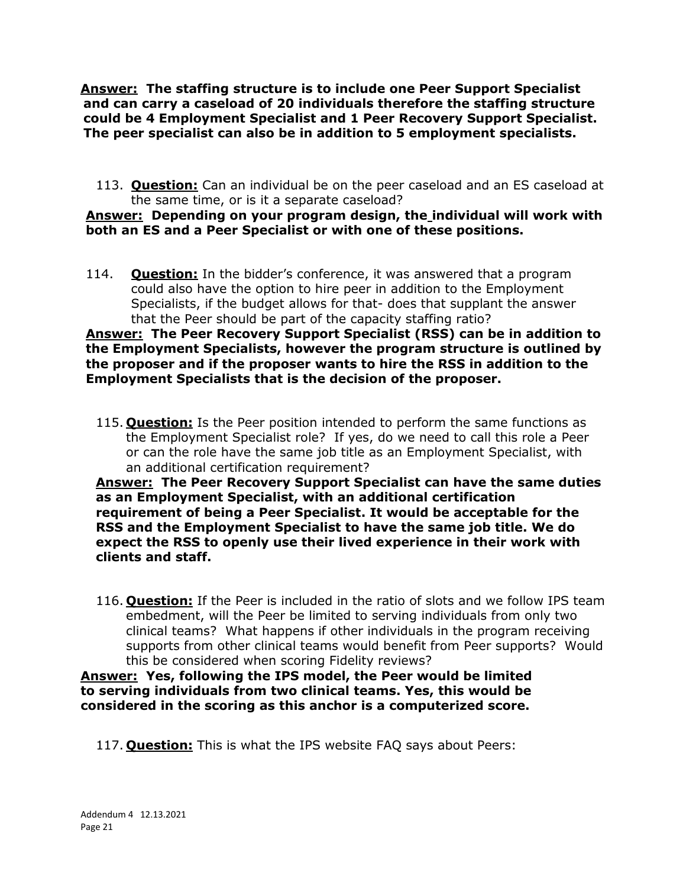**Answer: The staffing structure is to include one Peer Support Specialist and can carry a caseload of 20 individuals therefore the staffing structure could be 4 Employment Specialist and 1 Peer Recovery Support Specialist. The peer specialist can also be in addition to 5 employment specialists.**

113. **Question:** Can an individual be on the peer caseload and an ES caseload at the same time, or is it a separate caseload?

### **Answer: Depending on your program design, the individual will work with both an ES and a Peer Specialist or with one of these positions.**

114. **Question:** In the bidder's conference, it was answered that a program could also have the option to hire peer in addition to the Employment Specialists, if the budget allows for that- does that supplant the answer that the Peer should be part of the capacity staffing ratio?

**Answer: The Peer Recovery Support Specialist (RSS) can be in addition to the Employment Specialists, however the program structure is outlined by the proposer and if the proposer wants to hire the RSS in addition to the Employment Specialists that is the decision of the proposer.** 

115. **Question:** Is the Peer position intended to perform the same functions as the Employment Specialist role? If yes, do we need to call this role a Peer or can the role have the same job title as an Employment Specialist, with an additional certification requirement?

**Answer: The Peer Recovery Support Specialist can have the same duties as an Employment Specialist, with an additional certification requirement of being a Peer Specialist. It would be acceptable for the RSS and the Employment Specialist to have the same job title. We do expect the RSS to openly use their lived experience in their work with clients and staff.**

116. **Question:** If the Peer is included in the ratio of slots and we follow IPS team embedment, will the Peer be limited to serving individuals from only two clinical teams? What happens if other individuals in the program receiving supports from other clinical teams would benefit from Peer supports? Would this be considered when scoring Fidelity reviews?

**Answer: Yes, following the IPS model, the Peer would be limited to serving individuals from two clinical teams. Yes, this would be considered in the scoring as this anchor is a computerized score.**

117. **Question:** This is what the IPS website FAQ says about Peers: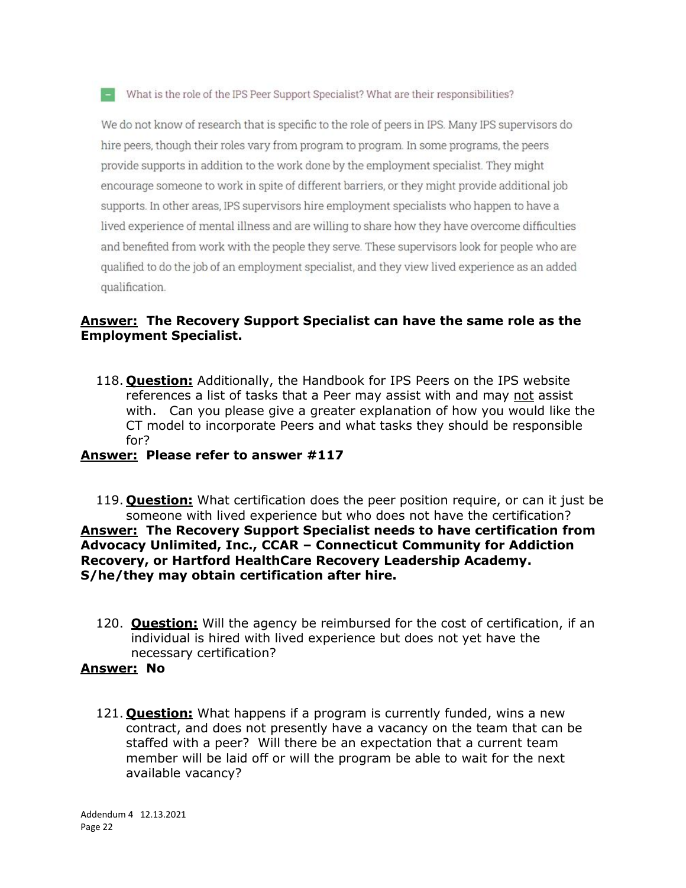#### $\blacksquare$  What is the role of the IPS Peer Support Specialist? What are their responsibilities?

We do not know of research that is specific to the role of peers in IPS. Many IPS supervisors do hire peers, though their roles vary from program to program. In some programs, the peers provide supports in addition to the work done by the employment specialist. They might encourage someone to work in spite of different barriers, or they might provide additional job supports. In other areas, IPS supervisors hire employment specialists who happen to have a lived experience of mental illness and are willing to share how they have overcome difficulties and benefited from work with the people they serve. These supervisors look for people who are qualified to do the job of an employment specialist, and they view lived experience as an added qualification.

### **Answer: The Recovery Support Specialist can have the same role as the Employment Specialist.**

118. **Question:** Additionally, the Handbook for IPS Peers on the IPS website references a list of tasks that a Peer may assist with and may not assist with. Can you please give a greater explanation of how you would like the CT model to incorporate Peers and what tasks they should be responsible for?

### **Answer: Please refer to answer #117**

119. **Question:** What certification does the peer position require, or can it just be someone with lived experience but who does not have the certification? **Answer: The Recovery Support Specialist needs to have certification from Advocacy Unlimited, Inc., CCAR – Connecticut Community for Addiction Recovery, or Hartford HealthCare Recovery Leadership Academy. S/he/they may obtain certification after hire.**

120. **Question:** Will the agency be reimbursed for the cost of certification, if an individual is hired with lived experience but does not yet have the necessary certification?

#### **Answer: No**

121. **Question:** What happens if a program is currently funded, wins a new contract, and does not presently have a vacancy on the team that can be staffed with a peer? Will there be an expectation that a current team member will be laid off or will the program be able to wait for the next available vacancy?

Addendum 4 12.13.2021 Page 22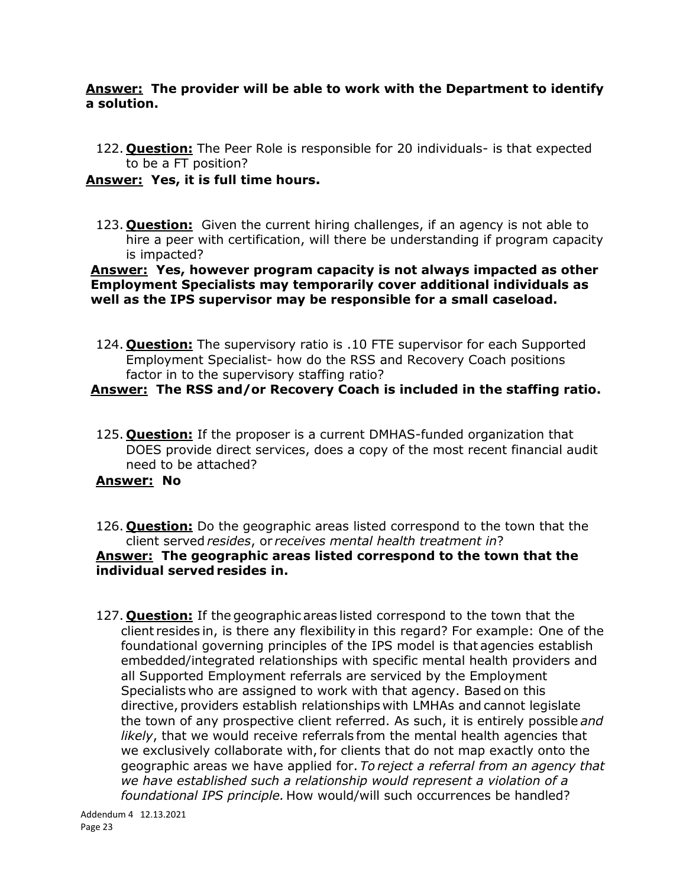### **Answer: The provider will be able to work with the Department to identify a solution.**

122. **Question:** The Peer Role is responsible for 20 individuals- is that expected to be a FT position?

## **Answer: Yes, it is full time hours.**

123. **Question:** Given the current hiring challenges, if an agency is not able to hire a peer with certification, will there be understanding if program capacity is impacted?

### **Answer: Yes, however program capacity is not always impacted as other Employment Specialists may temporarily cover additional individuals as well as the IPS supervisor may be responsible for a small caseload.**

124. **Question:** The supervisory ratio is .10 FTE supervisor for each Supported Employment Specialist- how do the RSS and Recovery Coach positions factor in to the supervisory staffing ratio?

# **Answer: The RSS and/or Recovery Coach is included in the staffing ratio.**

125. **Question:** If the proposer is a current DMHAS-funded organization that DOES provide direct services, does a copy of the most recent financial audit need to be attached?

## **Answer: No**

- 126. **Question:** Do the geographic areas listed correspond to the town that the client served *resides*, or *receives mental health treatment in*? **Answer: The geographic areas listed correspond to the town that the individual served resides in.**
- 127. **Question:** If the geographic areas listed correspond to the town that the client resides in, is there any flexibility in this regard? For example: One of the foundational governing principles of the IPS model is that agencies establish embedded/integrated relationships with specific mental health providers and all Supported Employment referrals are serviced by the Employment Specialists who are assigned to work with that agency. Based on this directive, providers establish relationships with LMHAs and cannot legislate the town of any prospective client referred. As such, it is entirely possible *and likely*, that we would receive referrals from the mental health agencies that we exclusively collaborate with, for clients that do not map exactly onto the geographic areas we have applied for. *To reject a referral from an agency that we have established such a relationship would represent a violation of a foundational IPS principle.*How would/will such occurrences be handled?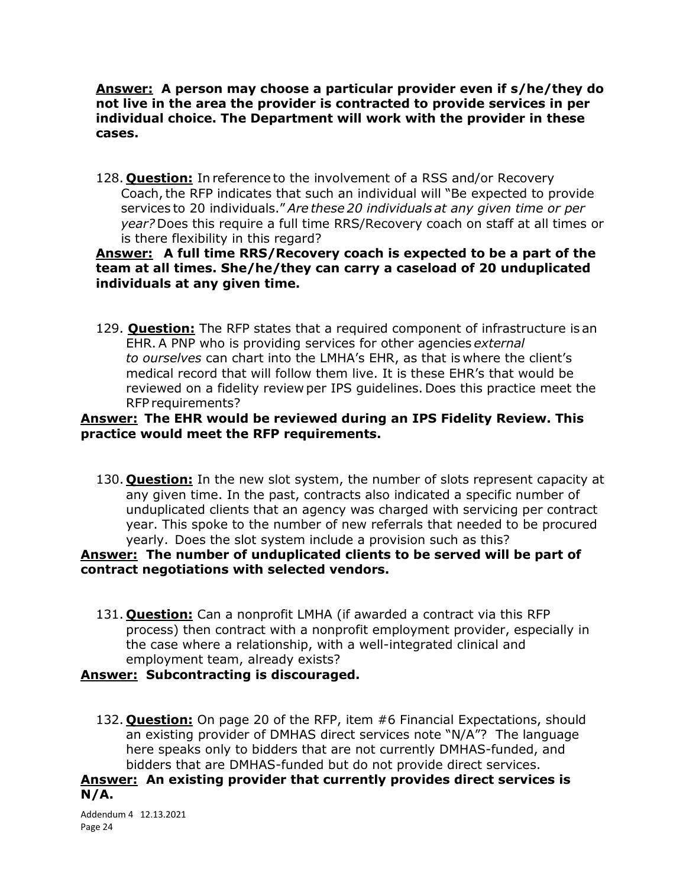**Answer: A person may choose a particular provider even if s/he/they do not live in the area the provider is contracted to provide services in per individual choice. The Department will work with the provider in these cases.** 

128. **Question:** In reference to the involvement of a RSS and/or Recovery Coach, the RFP indicates that such an individual will "Be expected to provide services to 20 individuals." *Are these 20 individuals at any given time or per year?* Does this require a full time RRS/Recovery coach on staff at all times or is there flexibility in this regard?

## **Answer: A full time RRS/Recovery coach is expected to be a part of the team at all times. She/he/they can carry a caseload of 20 unduplicated individuals at any given time.**

129. **Question:** The RFP states that a required component of infrastructure is an EHR. A PNP who is providing services for other agencies *external to ourselves* can chart into the LMHA's EHR, as that is where the client's medical record that will follow them live. It is these EHR's that would be reviewed on a fidelity review per IPS guidelines. Does this practice meet the RFP requirements? 

## **Answer: The EHR would be reviewed during an IPS Fidelity Review. This practice would meet the RFP requirements.**

130. **Question:** In the new slot system, the number of slots represent capacity at any given time. In the past, contracts also indicated a specific number of unduplicated clients that an agency was charged with servicing per contract year. This spoke to the number of new referrals that needed to be procured yearly.  Does the slot system include a provision such as this?

## **Answer: The number of unduplicated clients to be served will be part of contract negotiations with selected vendors.**

131. **Question:** Can a nonprofit LMHA (if awarded a contract via this RFP process) then contract with a nonprofit employment provider, especially in the case where a relationship, with a well-integrated clinical and employment team, already exists?

## **Answer: Subcontracting is discouraged.**

132. **Question:** On page 20 of the RFP, item #6 Financial Expectations, should an existing provider of DMHAS direct services note "N/A"? The language here speaks only to bidders that are not currently DMHAS-funded, and bidders that are DMHAS-funded but do not provide direct services.

**Answer: An existing provider that currently provides direct services is N/A.** 

Addendum 4 12.13.2021 Page 24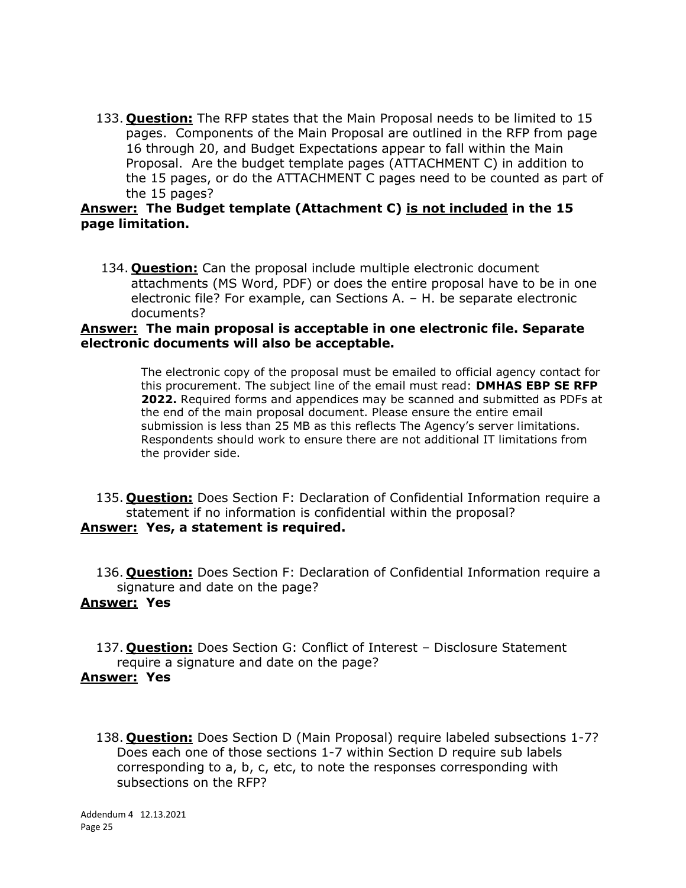133. **Question:** The RFP states that the Main Proposal needs to be limited to 15 pages. Components of the Main Proposal are outlined in the RFP from page 16 through 20, and Budget Expectations appear to fall within the Main Proposal. Are the budget template pages (ATTACHMENT C) in addition to the 15 pages, or do the ATTACHMENT C pages need to be counted as part of the 15 pages?

### **Answer: The Budget template (Attachment C) is not included in the 15 page limitation.**

134. **Question:** Can the proposal include multiple electronic document attachments (MS Word, PDF) or does the entire proposal have to be in one electronic file? For example, can Sections A. – H. be separate electronic documents?

#### **Answer: The main proposal is acceptable in one electronic file. Separate electronic documents will also be acceptable.**

The electronic copy of the proposal must be emailed to official agency contact for this procurement. The subject line of the email must read: **DMHAS EBP SE RFP 2022.** Required forms and appendices may be scanned and submitted as PDFs at the end of the main proposal document. Please ensure the entire email submission is less than 25 MB as this reflects The Agency's server limitations. Respondents should work to ensure there are not additional IT limitations from the provider side.

- 135. **Question:** Does Section F: Declaration of Confidential Information require a statement if no information is confidential within the proposal? **Answer: Yes, a statement is required.**
	- 136. **Question:** Does Section F: Declaration of Confidential Information require a signature and date on the page?

### **Answer: Yes**

- 137. **Question:** Does Section G: Conflict of Interest Disclosure Statement require a signature and date on the page? **Answer: Yes** 
	- 138. **Question:** Does Section D (Main Proposal) require labeled subsections 1-7? Does each one of those sections 1-7 within Section D require sub labels corresponding to a, b, c, etc, to note the responses corresponding with subsections on the RFP?